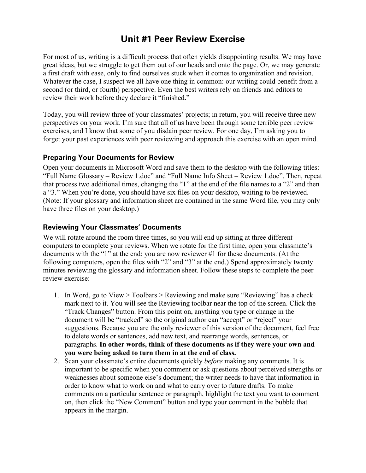## **Unit #1 Peer Review Exercise**

For most of us, writing is a difficult process that often yields disappointing results. We may have great ideas, but we struggle to get them out of our heads and onto the page. Or, we may generate a first draft with ease, only to find ourselves stuck when it comes to organization and revision. Whatever the case, I suspect we all have one thing in common: our writing could benefit from a second (or third, or fourth) perspective. Even the best writers rely on friends and editors to review their work before they declare it "finished."

Today, you will review three of your classmates' projects; in return, you will receive three new perspectives on your work. I'm sure that all of us have been through some terrible peer review exercises, and I know that some of you disdain peer review. For one day, I'm asking you to forget your past experiences with peer reviewing and approach this exercise with an open mind.

## **Preparing Your Documents for Review**

Open your documents in Microsoft Word and save them to the desktop with the following titles: "Full Name Glossary – Review 1.doc" and "Full Name Info Sheet – Review 1.doc". Then, repeat that process two additional times, changing the "1" at the end of the file names to a "2" and then a "3." When you're done, you should have six files on your desktop, waiting to be reviewed. (Note: If your glossary and information sheet are contained in the same Word file, you may only have three files on your desktop.)

## **Reviewing Your Classmates' Documents**

We will rotate around the room three times, so you will end up sitting at three different computers to complete your reviews. When we rotate for the first time, open your classmate's documents with the "1" at the end; you are now reviewer #1 for these documents. (At the following computers, open the files with "2" and "3" at the end.) Spend approximately twenty minutes reviewing the glossary and information sheet. Follow these steps to complete the peer review exercise:

- 1. In Word, go to View > Toolbars > Reviewing and make sure "Reviewing" has a check mark next to it. You will see the Reviewing toolbar near the top of the screen. Click the "Track Changes" button. From this point on, anything you type or change in the document will be "tracked" so the original author can "accept" or "reject" your suggestions. Because you are the only reviewer of this version of the document, feel free to delete words or sentences, add new text, and rearrange words, sentences, or paragraphs. **In other words, think of these documents as if they were your own and you were being asked to turn them in at the end of class.**
- 2. Scan your classmate's entire documents quickly *before* making any comments. It is important to be specific when you comment or ask questions about perceived strengths or weaknesses about someone else's document; the writer needs to have that information in order to know what to work on and what to carry over to future drafts. To make comments on a particular sentence or paragraph, highlight the text you want to comment on, then click the "New Comment" button and type your comment in the bubble that appears in the margin.